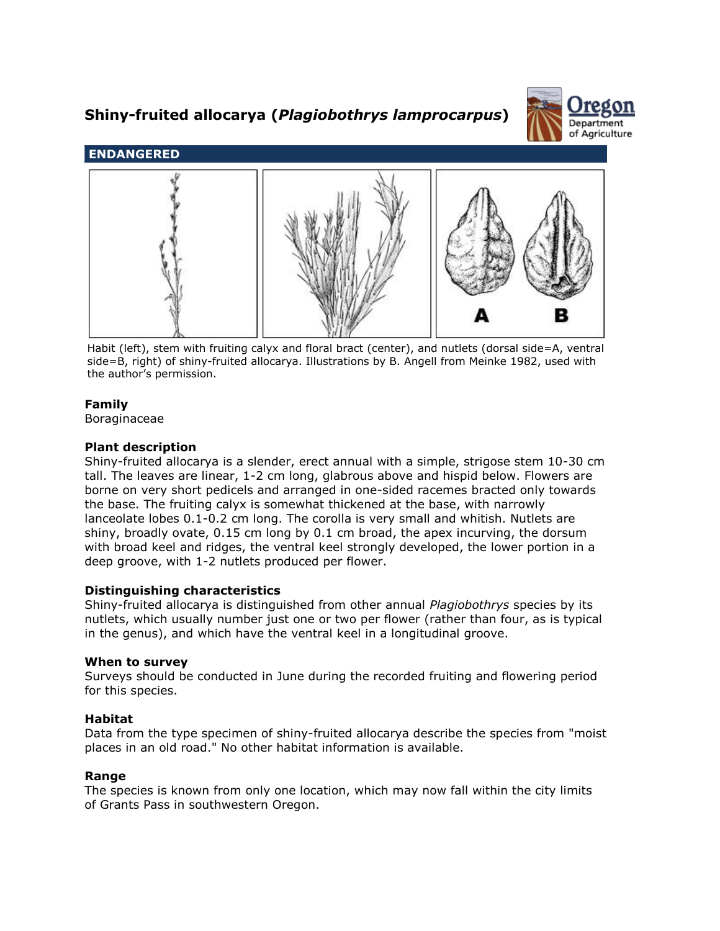# **Shiny-fruited allocarya (***Plagiobothrys lamprocarpus***)**





Habit (left), stem with fruiting calyx and floral bract (center), and nutlets (dorsal side=A, ventral side=B, right) of shiny-fruited allocarya. Illustrations by B. Angell from Meinke 1982, used with the author's permission.

# **Family**

Boraginaceae

# **Plant description**

Shiny-fruited allocarya is a slender, erect annual with a simple, strigose stem 10-30 cm tall. The leaves are linear, 1-2 cm long, glabrous above and hispid below. Flowers are borne on very short pedicels and arranged in one-sided racemes bracted only towards the base. The fruiting calyx is somewhat thickened at the base, with narrowly lanceolate lobes 0.1-0.2 cm long. The corolla is very small and whitish. Nutlets are shiny, broadly ovate, 0.15 cm long by 0.1 cm broad, the apex incurving, the dorsum with broad keel and ridges, the ventral keel strongly developed, the lower portion in a deep groove, with 1-2 nutlets produced per flower.

## **Distinguishing characteristics**

Shiny-fruited allocarya is distinguished from other annual *Plagiobothrys* species by its nutlets, which usually number just one or two per flower (rather than four, as is typical in the genus), and which have the ventral keel in a longitudinal groove.

## **When to survey**

Surveys should be conducted in June during the recorded fruiting and flowering period for this species.

# **Habitat**

Data from the type specimen of shiny-fruited allocarya describe the species from "moist places in an old road." No other habitat information is available.

## **Range**

The species is known from only one location, which may now fall within the city limits of Grants Pass in southwestern Oregon.